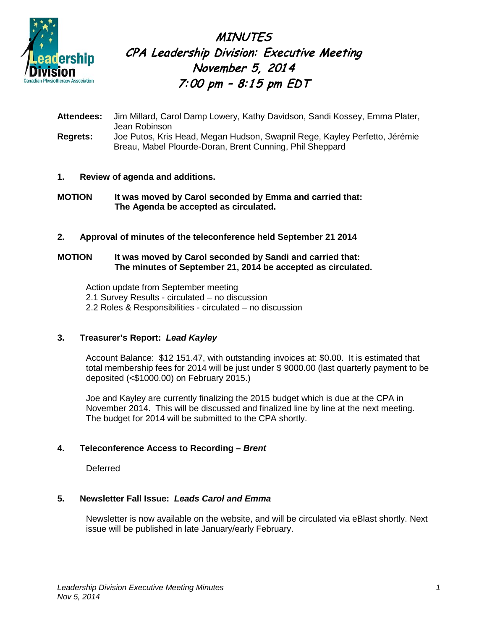

**MINUTES** CPA Leadership Division: Executive Meeting November 5, 2014 7:00 pm -  $8:15$  pm  $EDT$ 

**Attendees:** Jim Millard, Carol Damp Lowery, Kathy Davidson, Sandi Kossey, Emma Plater, Jean Robinson **Regrets:** Joe Putos, Kris Head, Megan Hudson, Swapnil Rege, Kayley Perfetto, Jérémie Breau, Mabel Plourde-Doran, Brent Cunning, Phil Sheppard

# **1. Review of agenda and additions.**

**MOTION It was moved by Carol seconded by Emma and carried that: The Agenda be accepted as circulated.**

#### **2. Approval of minutes of the teleconference held September 21 2014**

### **MOTION It was moved by Carol seconded by Sandi and carried that: The minutes of September 21, 2014 be accepted as circulated.**

Action update from September meeting 2.1 Survey Results - circulated – no discussion 2.2 Roles & Responsibilities - circulated – no discussion

# **3. Treasurer's Report:** *Lead Kayley*

Account Balance: \$12 151.47, with outstanding invoices at: \$0.00. It is estimated that total membership fees for 2014 will be just under \$ 9000.00 (last quarterly payment to be deposited (<\$1000.00) on February 2015.)

Joe and Kayley are currently finalizing the 2015 budget which is due at the CPA in November 2014. This will be discussed and finalized line by line at the next meeting. The budget for 2014 will be submitted to the CPA shortly.

# **4. Teleconference Access to Recording –** *Brent*

Deferred

# **5. Newsletter Fall Issue:** *Leads Carol and Emma*

Newsletter is now available on the website, and will be circulated via eBlast shortly. Next issue will be published in late January/early February.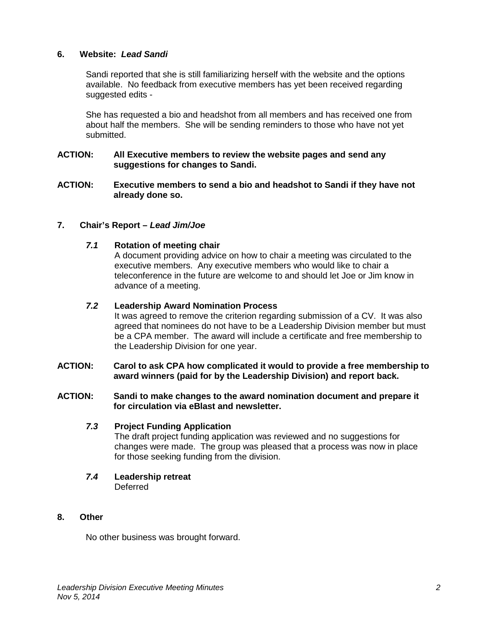### **6. Website:** *Lead Sandi*

Sandi reported that she is still familiarizing herself with the website and the options available. No feedback from executive members has yet been received regarding suggested edits -

She has requested a bio and headshot from all members and has received one from about half the members. She will be sending reminders to those who have not yet submitted.

#### **ACTION: All Executive members to review the website pages and send any suggestions for changes to Sandi.**

**ACTION: Executive members to send a bio and headshot to Sandi if they have not already done so.**

#### **7. Chair's Report –** *Lead Jim/Joe*

#### *7.1* **Rotation of meeting chair**

A document providing advice on how to chair a meeting was circulated to the executive members. Any executive members who would like to chair a teleconference in the future are welcome to and should let Joe or Jim know in advance of a meeting.

#### *7.2* **Leadership Award Nomination Process**

It was agreed to remove the criterion regarding submission of a CV. It was also agreed that nominees do not have to be a Leadership Division member but must be a CPA member. The award will include a certificate and free membership to the Leadership Division for one year.

#### **ACTION: Carol to ask CPA how complicated it would to provide a free membership to award winners (paid for by the Leadership Division) and report back.**

#### **ACTION: Sandi to make changes to the award nomination document and prepare it for circulation via eBlast and newsletter.**

#### *7.3* **Project Funding Application**

The draft project funding application was reviewed and no suggestions for changes were made. The group was pleased that a process was now in place for those seeking funding from the division.

*7.4* **Leadership retreat** Deferred

#### **8. Other**

No other business was brought forward.